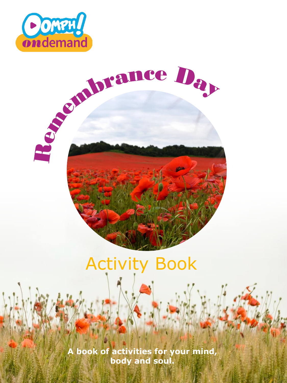



### Activity Book

**A book of activities for your mind, body and soul.**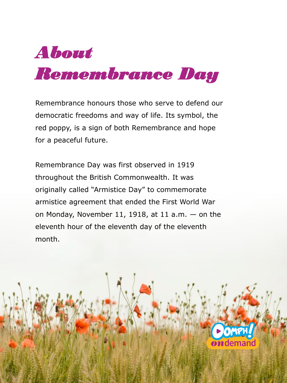

Remembrance honours those who serve to defend our democratic freedoms and way of life. Its symbol, the red poppy, is a sign of both Remembrance and hope for a peaceful future.

Remembrance Day was first observed in 1919 throughout the British Commonwealth. It was originally called "Armistice Day" to commemorate armistice agreement that ended the First World War on Monday, November 11, 1918, at 11 a.m.  $-$  on the eleventh hour of the eleventh day of the eleventh month.

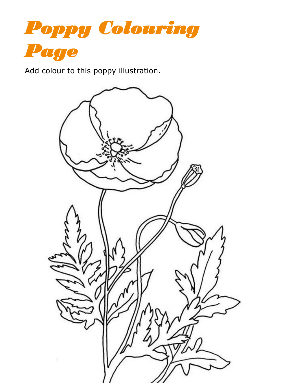

Add colour to this poppy illustration.

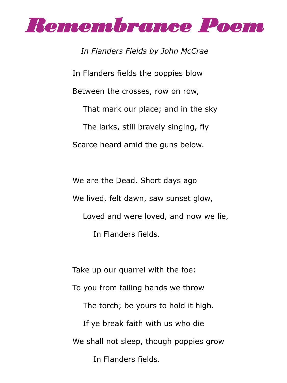

In Flanders fields the poppies blow Between the crosses, row on row, That mark our place; and in the sky The larks, still bravely singing, fly Scarce heard amid the guns below. *In Flanders Fields by John McCrae*

We are the Dead. Short days ago We lived, felt dawn, saw sunset glow, Loved and were loved, and now we lie, In Flanders fields.

Take up our quarrel with the foe: To you from failing hands we throw The torch; be yours to hold it high. If ye break faith with us who die We shall not sleep, though poppies grow In Flanders fields.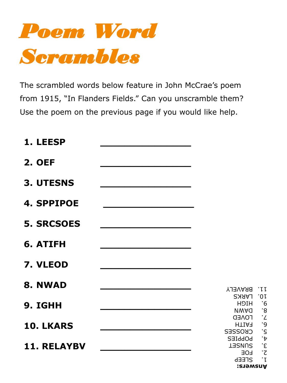

The scrambled words below feature in John McCrae's poem from 1915, "In Flanders Fields." Can you unscramble them? Use the poem on the previous page if you would like help.

| 1. LEESP           |                                                                           |                                            |
|--------------------|---------------------------------------------------------------------------|--------------------------------------------|
| <b>2. OEF</b>      |                                                                           |                                            |
| <b>3. UTESNS</b>   |                                                                           |                                            |
| <b>4. SPPIPOE</b>  |                                                                           |                                            |
| <b>5. SRCSOES</b>  |                                                                           |                                            |
| 6. ATIFH           |                                                                           |                                            |
| 7. VLEOD           |                                                                           |                                            |
| 8. NWAD            | <b>BRAVELY</b>                                                            | .II                                        |
| 9. IGHH            | <b>LARKS</b><br><b>HOIH</b><br><b>NWAQ</b>                                | .OI<br>$\cdot$ 6<br>$\cdot$ 8              |
| 10. LKARS          | <b>FOAED</b><br><b>HTIAF</b><br><b>CKOSSES</b>                            | $\cdot$ '<br>$\frac{9}{5}$                 |
| <b>11. RELAYBV</b> | <b>POPPIES</b><br><b>TERNUS</b><br><b>LOE</b><br><b>ATEEP</b><br>Ansuers: | $\mathbf{r}$<br>$\cdot$ c<br>.z<br>$\cdot$ |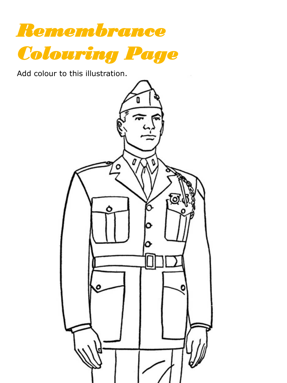

Add colour to this illustration.

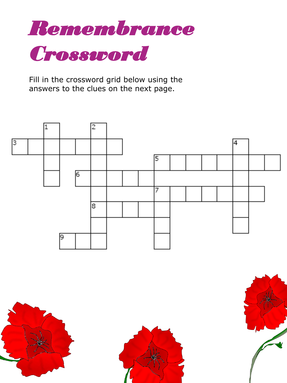

Fill in the crossword grid below using the answers to the clues on the next page.







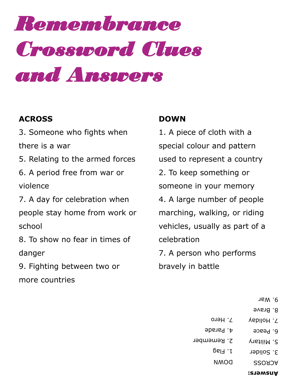# *Remembrance Crossword Clues and Answers*

#### **ACROSS**

3. Someone who fights when

there is a war

5. Relating to the armed forces

6. A period free from war or violence

7. A day for celebration when people stay home from work or school

8. To show no fear in times of danger

9. Fighting between two or more countries

#### **DOWN**

1. A piece of cloth with a special colour and pattern used to represent a country 2. To keep something or someone in your memory 4. A large number of people marching, walking, or riding vehicles, usually as part of a celebration 7. A person who performs bravely in battle

- 9. War
- 8. Brave
- **Answers:** ACROSS 3. Solider 5. Military 6. Peace 7. Holiday DOWN 1. Flag 2. Remember 4. Parade 7. Hero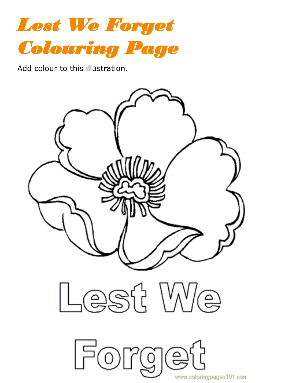

Add colour to this illustration.

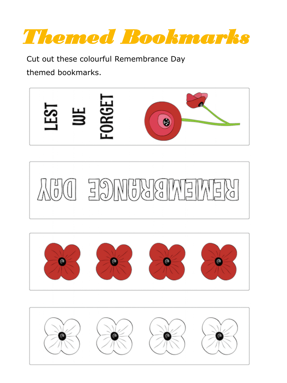*Themed Bookmarks*

Cut out these colourful Remembrance Day themed bookmarks.







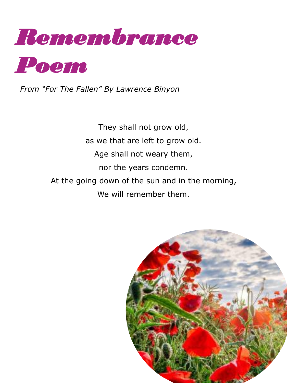

*From "For The Fallen" By Lawrence Binyon*

They shall not grow old, as we that are left to grow old. Age shall not weary them, nor the years condemn. At the going down of the sun and in the morning, We will remember them.

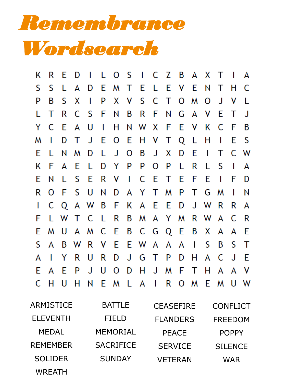*Remembrance Wordsearch*

|    |              |       |       |              |  | K R E D I L O S I C Z B A X T I A |  |  |              |              |             |
|----|--------------|-------|-------|--------------|--|-----------------------------------|--|--|--------------|--------------|-------------|
| S  | S            | L.    |       |              |  | A D E M T E L E V E N T H C       |  |  |              |              |             |
| P  | B            | S.    | X     | $\mathbf{I}$ |  | P X V S C T O M O J               |  |  |              | $\mathsf{V}$ |             |
| L. | Τ            | R     |       |              |  | C S F N B R F N G A V E T         |  |  |              |              | J.          |
|    |              | Y C E | A U   |              |  | I H N W X F E V K C F             |  |  |              |              | B           |
| M  | $\mathbf{I}$ | D     |       |              |  | T J E O E H V T Q L H I           |  |  |              | -E.          | - S         |
|    |              |       |       |              |  | E L N M D L J O B J X D E I T C W |  |  |              |              |             |
| K  | -F.          |       | A E L |              |  | D Y P P O P L R L                 |  |  | - S          | $\Box$       | A           |
| E. | N            |       |       |              |  | L S E R V I C E T E F E           |  |  | $\mathbf{I}$ | -F           | - D         |
| R  |              |       |       |              |  | O F S U N D A Y T M P T G M       |  |  |              | $\mathbf{I}$ | $\mathsf N$ |
| L  |              |       |       |              |  | C Q A W B F K A E E D J W R       |  |  |              | R.           | A           |
| F  |              |       |       |              |  | L W T C L R B M A Y M R W A C     |  |  |              |              | - R         |
| E. |              |       |       |              |  | M U A M C E B C G Q E B X A A     |  |  |              |              | - E         |
| S. | A            |       |       |              |  | B W R V E E W A A A I S           |  |  | B S T        |              |             |
| A  | $\mathbf{I}$ |       | Y R U |              |  | R D J G T P D H A C J E           |  |  |              |              |             |
| E. |              |       |       |              |  | A E P J U O D H J M F T H A A     |  |  |              |              | - V         |
|    | C H          | - U   |       |              |  | H N E M L A I R O M E M U W       |  |  |              |              |             |

| ARMISTICE       | <b>BATTLE</b>    | <b>CEASEFIRE</b> | <b>CONFLICT</b> |
|-----------------|------------------|------------------|-----------------|
| <b>ELEVENTH</b> | <b>FIELD</b>     | <b>FLANDERS</b>  | <b>FREEDOM</b>  |
| <b>MEDAL</b>    | <b>MEMORIAL</b>  | <b>PEACE</b>     | <b>POPPY</b>    |
| <b>REMEMBER</b> | <b>SACRIFICE</b> | <b>SERVICE</b>   | <b>SILENCE</b>  |
| <b>SOLIDER</b>  | <b>SUNDAY</b>    | <b>VETERAN</b>   | WAR             |
| <b>WREATH</b>   |                  |                  |                 |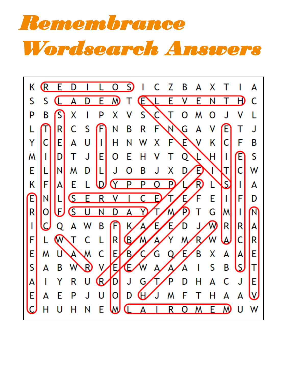# *Remembrance Wordsearch Answers*

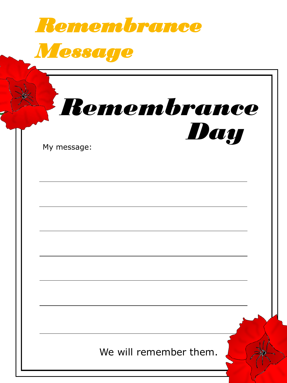